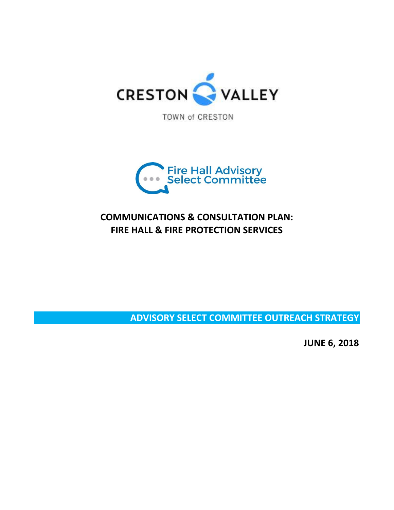

TOWN of CRESTON



# **COMMUNICATIONS & CONSULTATION PLAN: FIRE HALL & FIRE PROTECTION SERVICES**

**ADVISORY SELECT COMMITTEE OUTREACH STRATEGY**

**JUNE 6, 2018**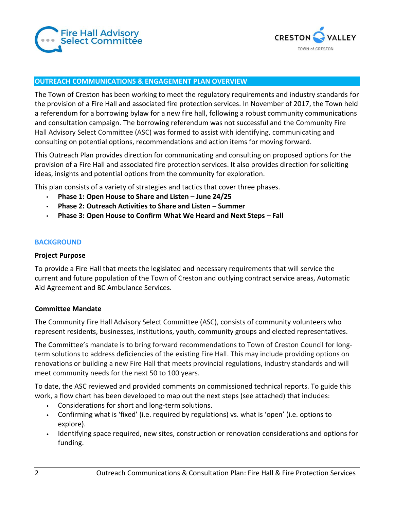



#### **OUTREACH COMMUNICATIONS & ENGAGEMENT PLAN OVERVIEW**

The Town of Creston has been working to meet the regulatory requirements and industry standards for the provision of a Fire Hall and associated fire protection services. In November of 2017, the Town held a referendum for a borrowing bylaw for a new fire hall, following a robust community communications and consultation campaign. The borrowing referendum was not successful and the Community Fire Hall Advisory Select Committee (ASC) was formed to assist with identifying, communicating and consulting on potential options, recommendations and action items for moving forward.

This Outreach Plan provides direction for communicating and consulting on proposed options for the provision of a Fire Hall and associated fire protection services. It also provides direction for soliciting ideas, insights and potential options from the community for exploration.

This plan consists of a variety of strategies and tactics that cover three phases.

- **Phase 1: Open House to Share and Listen – June 24/25**
- **Phase 2: Outreach Activities to Share and Listen – Summer**
- **Phase 3: Open House to Confirm What We Heard and Next Steps – Fall**

#### **BACKGROUND**

#### **Project Purpose**

To provide a Fire Hall that meets the legislated and necessary requirements that will service the current and future population of the Town of Creston and outlying contract service areas, Automatic Aid Agreement and BC Ambulance Services.

#### **Committee Mandate**

The Community Fire Hall Advisory Select Committee (ASC), consists of community volunteers who represent residents, businesses, institutions, youth, community groups and elected representatives.

The Committee's mandate is to bring forward recommendations to Town of Creston Council for longterm solutions to address deficiencies of the existing Fire Hall. This may include providing options on renovations or building a new Fire Hall that meets provincial regulations, industry standards and will meet community needs for the next 50 to 100 years.

To date, the ASC reviewed and provided comments on commissioned technical reports. To guide this work, a flow chart has been developed to map out the next steps (see attached) that includes:

- Considerations for short and long-term solutions.
- Confirming what is 'fixed' (i.e. required by regulations) vs. what is 'open' (i.e. options to explore).
- Identifying space required, new sites, construction or renovation considerations and options for funding.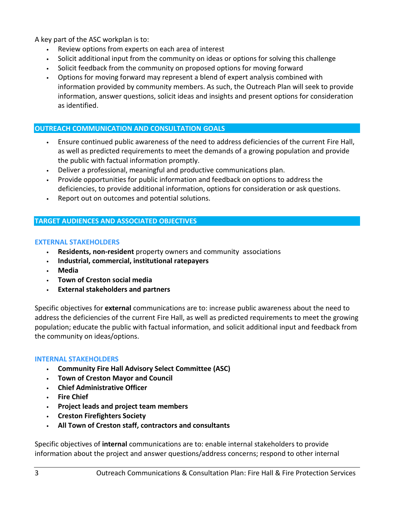A key part of the ASC workplan is to:

- Review options from experts on each area of interest
- Solicit additional input from the community on ideas or options for solving this challenge
- Solicit feedback from the community on proposed options for moving forward
- Options for moving forward may represent a blend of expert analysis combined with information provided by community members. As such, the Outreach Plan will seek to provide information, answer questions, solicit ideas and insights and present options for consideration as identified.

# **OUTREACH COMMUNICATION AND CONSULTATION GOALS**

- Ensure continued public awareness of the need to address deficiencies of the current Fire Hall, as well as predicted requirements to meet the demands of a growing population and provide the public with factual information promptly.
- Deliver a professional, meaningful and productive communications plan.
- Provide opportunities for public information and feedback on options to address the deficiencies, to provide additional information, options for consideration or ask questions.
- Report out on outcomes and potential solutions.

# **TARGET AUDIENCES AND ASSOCIATED OBJECTIVES**

# **EXTERNAL STAKEHOLDERS**

- **Residents, non-resident** property owners and community associations
- **Industrial, commercial, institutional ratepayers**
- **Media**
- **Town of Creston social media**
- **External stakeholders and partners**

Specific objectives for **external** communications are to: increase public awareness about the need to address the deficiencies of the current Fire Hall, as well as predicted requirements to meet the growing population; educate the public with factual information, and solicit additional input and feedback from the community on ideas/options.

# **INTERNAL STAKEHOLDERS**

- **Community Fire Hall Advisory Select Committee (ASC)**
- **Town of Creston Mayor and Council**
- **Chief Administrative Officer**
- **Fire Chief**
- **Project leads and project team members**
- **Creston Firefighters Society**
- **All Town of Creston staff, contractors and consultants**

Specific objectives of **internal** communications are to: enable internal stakeholders to provide information about the project and answer questions/address concerns; respond to other internal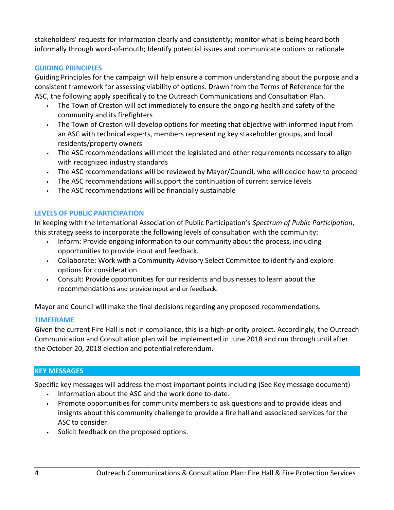stakeholders' requests for information clearly and consistently; monitor what is being heard both informally through word-of-mouth; Identify potential issues and communicate options or rationale.

# **GUIDING PRINCIPLES**

Guiding Principles for the campaign will help ensure a common understanding about the purpose and a consistent framework for assessing viability of options. Drawn from the Terms of Reference for the ASC, the following apply specifically to the Outreach Communications and Consultation Plan.

- The Town of Creston will act immediately to ensure the ongoing health and safety of the community and its firefighters
- The Town of Creston will develop options for meeting that objective with informed input from an ASC with technical experts, members representing key stakeholder groups, and local residents/property owners
- The ASC recommendations will meet the legislated and other requirements necessary to align with recognized industry standards
- The ASC recommendations will be reviewed by Mayor/Council, who will decide how to proceed
- The ASC recommendations will support the continuation of current service levels
- The ASC recommendations will be financially sustainable

# **LEVELS OF PUBLIC PARTICIPATION**

In keeping with the International Association of Public Participation's *Spectrum of Public Participation*, this strategy seeks to incorporate the following levels of consultation with the community:

- Inform: Provide ongoing information to our community about the process, including opportunities to provide input and feedback.
- Collaborate: Work with a Community Advisory Select Committee to identify and explore options for consideration.
- Consult: Provide opportunities for our residents and businesses to learn about the recommendations and provide input and or feedback.

Mayor and Council will make the final decisions regarding any proposed recommendations.

# **TIMEFRAME**

Given the current Fire Hall is not in compliance, this is a high-priority project. Accordingly, the Outreach Communication and Consultation plan will be implemented in June 2018 and run through until after the October 20, 2018 election and potential referendum.

# **KEY MESSAGES**

Specific key messages will address the most important points including (See Key message document)

- Information about the ASC and the work done to-date.
- Promote opportunities for community members to ask questions and to provide ideas and insights about this community challenge to provide a fire hall and associated services for the ASC to consider.
- Solicit feedback on the proposed options.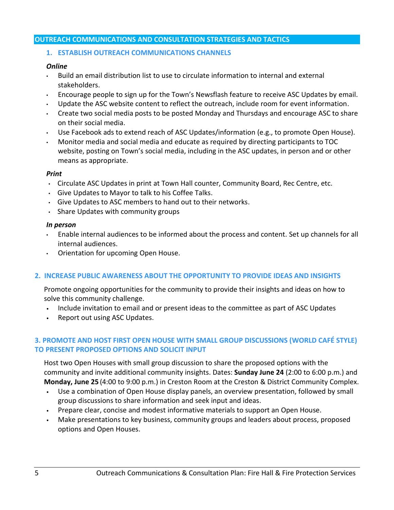## **OUTREACH COMMUNICATIONS AND CONSULTATION STRATEGIES AND TACTICS**

## **1. ESTABLISH OUTREACH COMMUNICATIONS CHANNELS**

## *Online*

- Build an email distribution list to use to circulate information to internal and external stakeholders.
- Encourage people to sign up for the Town's Newsflash feature to receive ASC Updates by email.
- Update the ASC website content to reflect the outreach, include room for event information.
- Create two social media posts to be posted Monday and Thursdays and encourage ASC to share on their social media.
- Use Facebook ads to extend reach of ASC Updates/information (e.g., to promote Open House).
- Monitor media and social media and educate as required by directing participants to TOC website, posting on Town's social media, including in the ASC updates, in person and or other means as appropriate.

## *Print*

- Circulate ASC Updates in print at Town Hall counter, Community Board, Rec Centre, etc.
- Give Updates to Mayor to talk to his Coffee Talks.
- Give Updates to ASC members to hand out to their networks.
- Share Updates with community groups

## *In person*

- Enable internal audiences to be informed about the process and content. Set up channels for all internal audiences.
- Orientation for upcoming Open House.

# **2. INCREASE PUBLIC AWARENESS ABOUT THE OPPORTUNITY TO PROVIDE IDEAS AND INSIGHTS**

Promote ongoing opportunities for the community to provide their insights and ideas on how to solve this community challenge.

- Include invitation to email and or present ideas to the committee as part of ASC Updates
- Report out using ASC Updates.

# **3. PROMOTE AND HOST FIRST OPEN HOUSE WITH SMALL GROUP DISCUSSIONS (WORLD CAFÉ STYLE) TO PRESENT PROPOSED OPTIONS AND SOLICIT INPUT**

Host two Open Houses with small group discussion to share the proposed options with the community and invite additional community insights. Dates: **Sunday June 24** (2:00 to 6:00 p.m.) and **Monday, June 25** (4:00 to 9:00 p.m.) in Creston Room at the Creston & District Community Complex.

- Use a combination of Open House display panels, an overview presentation, followed by small group discussions to share information and seek input and ideas.
- Prepare clear, concise and modest informative materials to support an Open House.
- Make presentations to key business, community groups and leaders about process, proposed options and Open Houses.